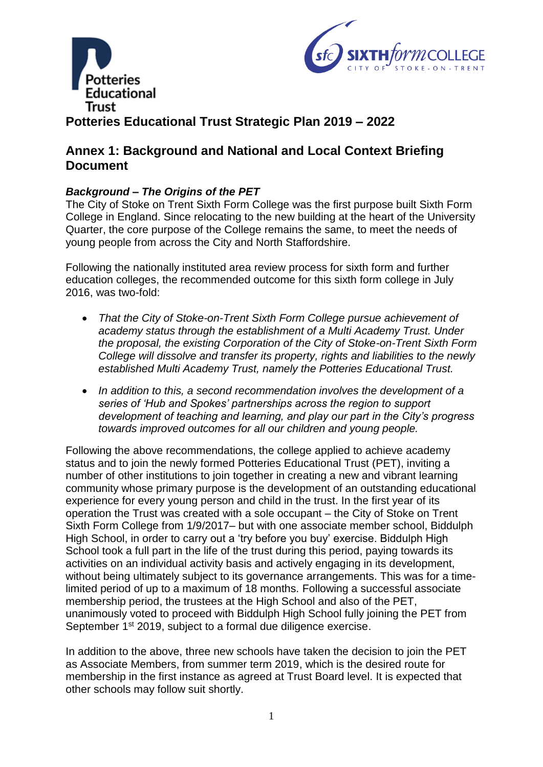



# **Potteries Educational Trust Strategic Plan 2019 – 2022**

## **Annex 1: Background and National and Local Context Briefing Document**

## *Background – The Origins of the PET*

The City of Stoke on Trent Sixth Form College was the first purpose built Sixth Form College in England. Since relocating to the new building at the heart of the University Quarter, the core purpose of the College remains the same, to meet the needs of young people from across the City and North Staffordshire.

Following the nationally instituted area review process for sixth form and further education colleges, the recommended outcome for this sixth form college in July 2016, was two-fold:

- *That the City of Stoke-on-Trent Sixth Form College pursue achievement of academy status through the establishment of a Multi Academy Trust. Under the proposal, the existing Corporation of the City of Stoke-on-Trent Sixth Form College will dissolve and transfer its property, rights and liabilities to the newly established Multi Academy Trust, namely the Potteries Educational Trust.*
- *In addition to this, a second recommendation involves the development of a series of 'Hub and Spokes' partnerships across the region to support development of teaching and learning, and play our part in the City's progress towards improved outcomes for all our children and young people.*

Following the above recommendations, the college applied to achieve academy status and to join the newly formed Potteries Educational Trust (PET), inviting a number of other institutions to join together in creating a new and vibrant learning community whose primary purpose is the development of an outstanding educational experience for every young person and child in the trust. In the first year of its operation the Trust was created with a sole occupant – the City of Stoke on Trent Sixth Form College from 1/9/2017– but with one associate member school, Biddulph High School, in order to carry out a 'try before you buy' exercise. Biddulph High School took a full part in the life of the trust during this period, paying towards its activities on an individual activity basis and actively engaging in its development, without being ultimately subject to its governance arrangements. This was for a timelimited period of up to a maximum of 18 months. Following a successful associate membership period, the trustees at the High School and also of the PET, unanimously voted to proceed with Biddulph High School fully joining the PET from September 1<sup>st</sup> 2019, subject to a formal due diligence exercise.

In addition to the above, three new schools have taken the decision to join the PET as Associate Members, from summer term 2019, which is the desired route for membership in the first instance as agreed at Trust Board level. It is expected that other schools may follow suit shortly.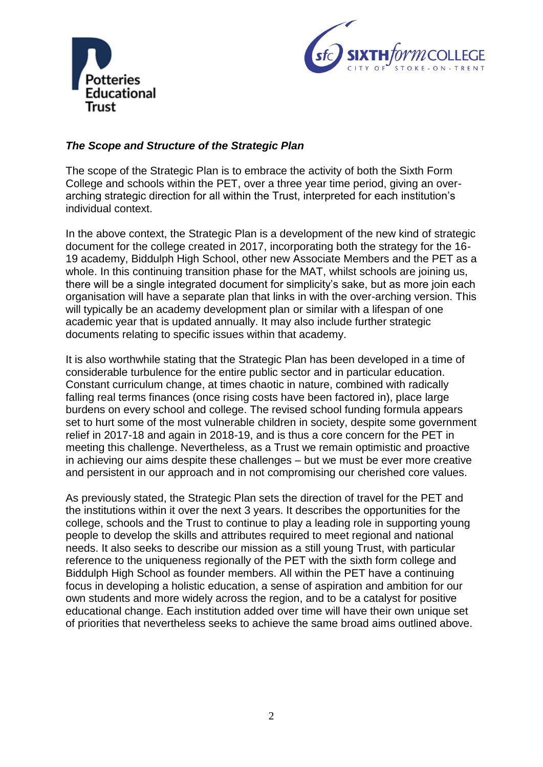



## *The Scope and Structure of the Strategic Plan*

The scope of the Strategic Plan is to embrace the activity of both the Sixth Form College and schools within the PET, over a three year time period, giving an overarching strategic direction for all within the Trust, interpreted for each institution's individual context.

In the above context, the Strategic Plan is a development of the new kind of strategic document for the college created in 2017, incorporating both the strategy for the 16- 19 academy, Biddulph High School, other new Associate Members and the PET as a whole. In this continuing transition phase for the MAT, whilst schools are joining us, there will be a single integrated document for simplicity's sake, but as more join each organisation will have a separate plan that links in with the over-arching version. This will typically be an academy development plan or similar with a lifespan of one academic year that is updated annually. It may also include further strategic documents relating to specific issues within that academy.

It is also worthwhile stating that the Strategic Plan has been developed in a time of considerable turbulence for the entire public sector and in particular education. Constant curriculum change, at times chaotic in nature, combined with radically falling real terms finances (once rising costs have been factored in), place large burdens on every school and college. The revised school funding formula appears set to hurt some of the most vulnerable children in society, despite some government relief in 2017-18 and again in 2018-19, and is thus a core concern for the PET in meeting this challenge. Nevertheless, as a Trust we remain optimistic and proactive in achieving our aims despite these challenges – but we must be ever more creative and persistent in our approach and in not compromising our cherished core values.

As previously stated, the Strategic Plan sets the direction of travel for the PET and the institutions within it over the next 3 years. It describes the opportunities for the college, schools and the Trust to continue to play a leading role in supporting young people to develop the skills and attributes required to meet regional and national needs. It also seeks to describe our mission as a still young Trust, with particular reference to the uniqueness regionally of the PET with the sixth form college and Biddulph High School as founder members. All within the PET have a continuing focus in developing a holistic education, a sense of aspiration and ambition for our own students and more widely across the region, and to be a catalyst for positive educational change. Each institution added over time will have their own unique set of priorities that nevertheless seeks to achieve the same broad aims outlined above.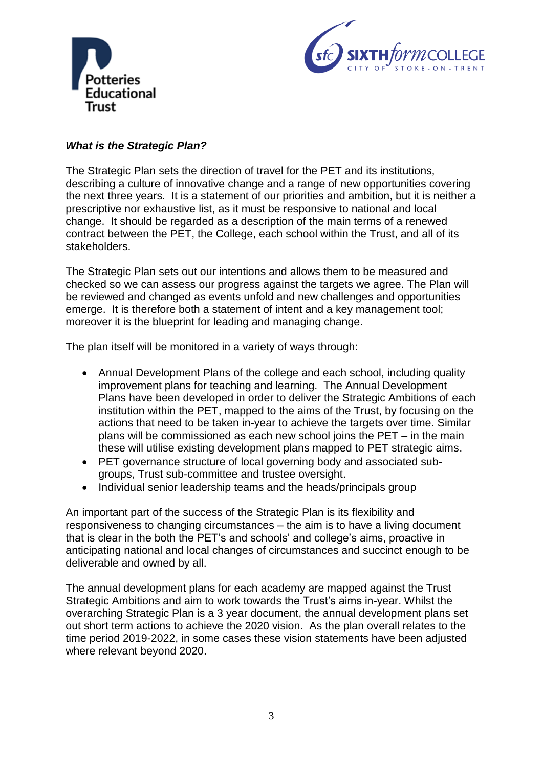



## *What is the Strategic Plan?*

The Strategic Plan sets the direction of travel for the PET and its institutions, describing a culture of innovative change and a range of new opportunities covering the next three years. It is a statement of our priorities and ambition, but it is neither a prescriptive nor exhaustive list, as it must be responsive to national and local change. It should be regarded as a description of the main terms of a renewed contract between the PET, the College, each school within the Trust, and all of its stakeholders.

The Strategic Plan sets out our intentions and allows them to be measured and checked so we can assess our progress against the targets we agree. The Plan will be reviewed and changed as events unfold and new challenges and opportunities emerge. It is therefore both a statement of intent and a key management tool; moreover it is the blueprint for leading and managing change.

The plan itself will be monitored in a variety of ways through:

- Annual Development Plans of the college and each school, including quality improvement plans for teaching and learning. The Annual Development Plans have been developed in order to deliver the Strategic Ambitions of each institution within the PET, mapped to the aims of the Trust, by focusing on the actions that need to be taken in-year to achieve the targets over time. Similar plans will be commissioned as each new school joins the PET – in the main these will utilise existing development plans mapped to PET strategic aims.
- PET governance structure of local governing body and associated subgroups, Trust sub-committee and trustee oversight.
- Individual senior leadership teams and the heads/principals group

An important part of the success of the Strategic Plan is its flexibility and responsiveness to changing circumstances – the aim is to have a living document that is clear in the both the PET's and schools' and college's aims, proactive in anticipating national and local changes of circumstances and succinct enough to be deliverable and owned by all.

The annual development plans for each academy are mapped against the Trust Strategic Ambitions and aim to work towards the Trust's aims in-year. Whilst the overarching Strategic Plan is a 3 year document, the annual development plans set out short term actions to achieve the 2020 vision. As the plan overall relates to the time period 2019-2022, in some cases these vision statements have been adjusted where relevant beyond 2020.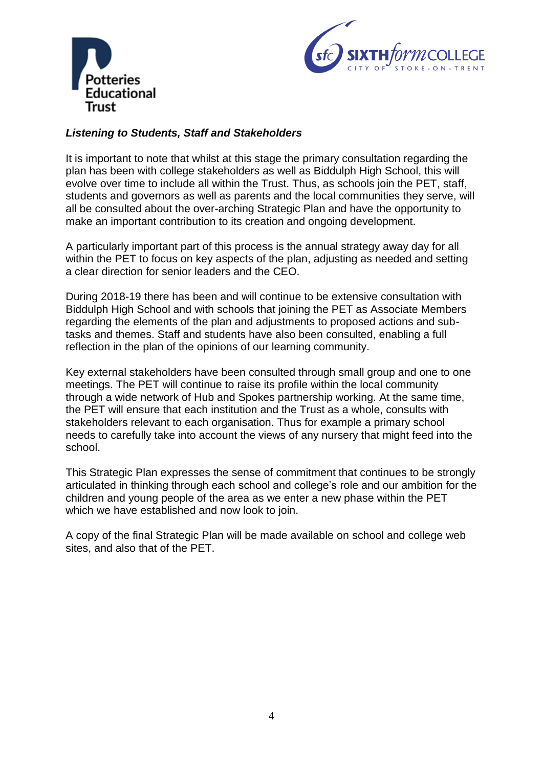



## *Listening to Students, Staff and Stakeholders*

It is important to note that whilst at this stage the primary consultation regarding the plan has been with college stakeholders as well as Biddulph High School, this will evolve over time to include all within the Trust. Thus, as schools join the PET, staff, students and governors as well as parents and the local communities they serve, will all be consulted about the over-arching Strategic Plan and have the opportunity to make an important contribution to its creation and ongoing development.

A particularly important part of this process is the annual strategy away day for all within the PET to focus on key aspects of the plan, adjusting as needed and setting a clear direction for senior leaders and the CEO.

During 2018-19 there has been and will continue to be extensive consultation with Biddulph High School and with schools that joining the PET as Associate Members regarding the elements of the plan and adjustments to proposed actions and subtasks and themes. Staff and students have also been consulted, enabling a full reflection in the plan of the opinions of our learning community.

Key external stakeholders have been consulted through small group and one to one meetings. The PET will continue to raise its profile within the local community through a wide network of Hub and Spokes partnership working. At the same time, the PET will ensure that each institution and the Trust as a whole, consults with stakeholders relevant to each organisation. Thus for example a primary school needs to carefully take into account the views of any nursery that might feed into the school.

This Strategic Plan expresses the sense of commitment that continues to be strongly articulated in thinking through each school and college's role and our ambition for the children and young people of the area as we enter a new phase within the PET which we have established and now look to join.

A copy of the final Strategic Plan will be made available on school and college web sites, and also that of the PET.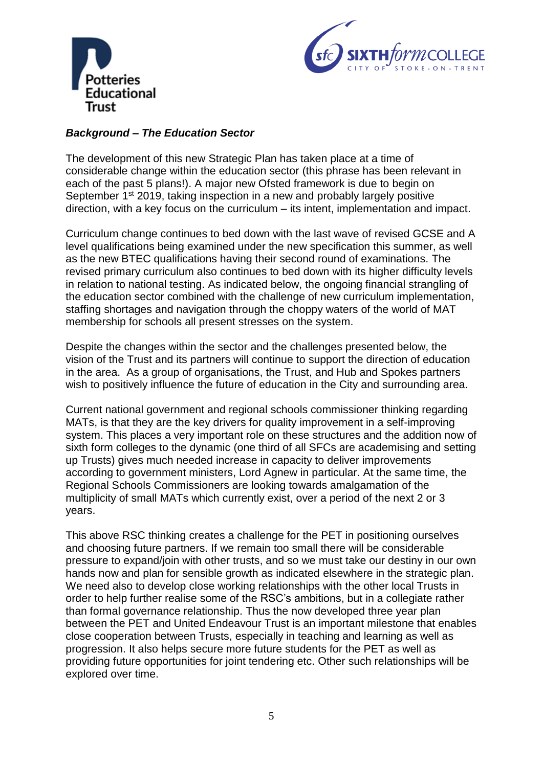



## *Background – The Education Sector*

The development of this new Strategic Plan has taken place at a time of considerable change within the education sector (this phrase has been relevant in each of the past 5 plans!). A major new Ofsted framework is due to begin on September 1<sup>st</sup> 2019, taking inspection in a new and probably largely positive direction, with a key focus on the curriculum – its intent, implementation and impact.

Curriculum change continues to bed down with the last wave of revised GCSE and A level qualifications being examined under the new specification this summer, as well as the new BTEC qualifications having their second round of examinations. The revised primary curriculum also continues to bed down with its higher difficulty levels in relation to national testing. As indicated below, the ongoing financial strangling of the education sector combined with the challenge of new curriculum implementation, staffing shortages and navigation through the choppy waters of the world of MAT membership for schools all present stresses on the system.

Despite the changes within the sector and the challenges presented below, the vision of the Trust and its partners will continue to support the direction of education in the area. As a group of organisations, the Trust, and Hub and Spokes partners wish to positively influence the future of education in the City and surrounding area.

Current national government and regional schools commissioner thinking regarding MATs, is that they are the key drivers for quality improvement in a self-improving system. This places a very important role on these structures and the addition now of sixth form colleges to the dynamic (one third of all SFCs are academising and setting up Trusts) gives much needed increase in capacity to deliver improvements according to government ministers, Lord Agnew in particular. At the same time, the Regional Schools Commissioners are looking towards amalgamation of the multiplicity of small MATs which currently exist, over a period of the next 2 or 3 years.

This above RSC thinking creates a challenge for the PET in positioning ourselves and choosing future partners. If we remain too small there will be considerable pressure to expand/join with other trusts, and so we must take our destiny in our own hands now and plan for sensible growth as indicated elsewhere in the strategic plan. We need also to develop close working relationships with the other local Trusts in order to help further realise some of the RSC's ambitions, but in a collegiate rather than formal governance relationship. Thus the now developed three year plan between the PET and United Endeavour Trust is an important milestone that enables close cooperation between Trusts, especially in teaching and learning as well as progression. It also helps secure more future students for the PET as well as providing future opportunities for joint tendering etc. Other such relationships will be explored over time.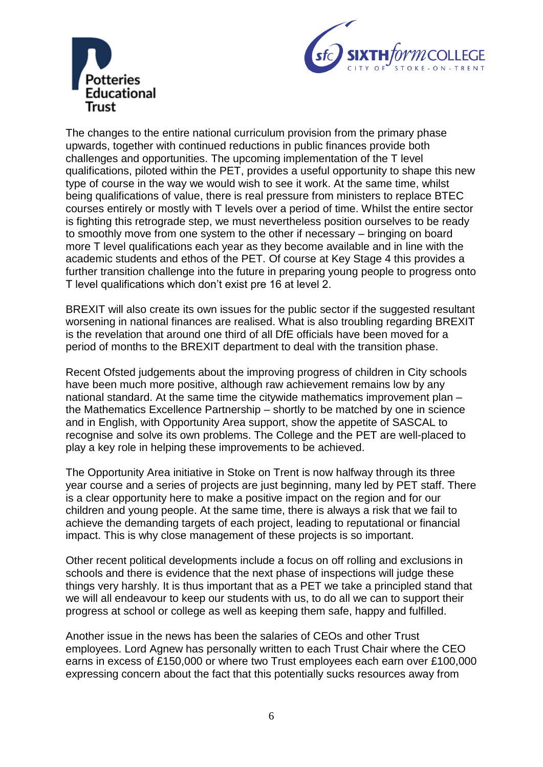



The changes to the entire national curriculum provision from the primary phase upwards, together with continued reductions in public finances provide both challenges and opportunities. The upcoming implementation of the T level qualifications, piloted within the PET, provides a useful opportunity to shape this new type of course in the way we would wish to see it work. At the same time, whilst being qualifications of value, there is real pressure from ministers to replace BTEC courses entirely or mostly with T levels over a period of time. Whilst the entire sector is fighting this retrograde step, we must nevertheless position ourselves to be ready to smoothly move from one system to the other if necessary – bringing on board more T level qualifications each year as they become available and in line with the academic students and ethos of the PET. Of course at Key Stage 4 this provides a further transition challenge into the future in preparing young people to progress onto T level qualifications which don't exist pre 16 at level 2.

BREXIT will also create its own issues for the public sector if the suggested resultant worsening in national finances are realised. What is also troubling regarding BREXIT is the revelation that around one third of all DfE officials have been moved for a period of months to the BREXIT department to deal with the transition phase.

Recent Ofsted judgements about the improving progress of children in City schools have been much more positive, although raw achievement remains low by any national standard. At the same time the citywide mathematics improvement plan – the Mathematics Excellence Partnership – shortly to be matched by one in science and in English, with Opportunity Area support, show the appetite of SASCAL to recognise and solve its own problems. The College and the PET are well-placed to play a key role in helping these improvements to be achieved.

The Opportunity Area initiative in Stoke on Trent is now halfway through its three year course and a series of projects are just beginning, many led by PET staff. There is a clear opportunity here to make a positive impact on the region and for our children and young people. At the same time, there is always a risk that we fail to achieve the demanding targets of each project, leading to reputational or financial impact. This is why close management of these projects is so important.

Other recent political developments include a focus on off rolling and exclusions in schools and there is evidence that the next phase of inspections will judge these things very harshly. It is thus important that as a PET we take a principled stand that we will all endeavour to keep our students with us, to do all we can to support their progress at school or college as well as keeping them safe, happy and fulfilled.

Another issue in the news has been the salaries of CEOs and other Trust employees. Lord Agnew has personally written to each Trust Chair where the CEO earns in excess of £150,000 or where two Trust employees each earn over £100,000 expressing concern about the fact that this potentially sucks resources away from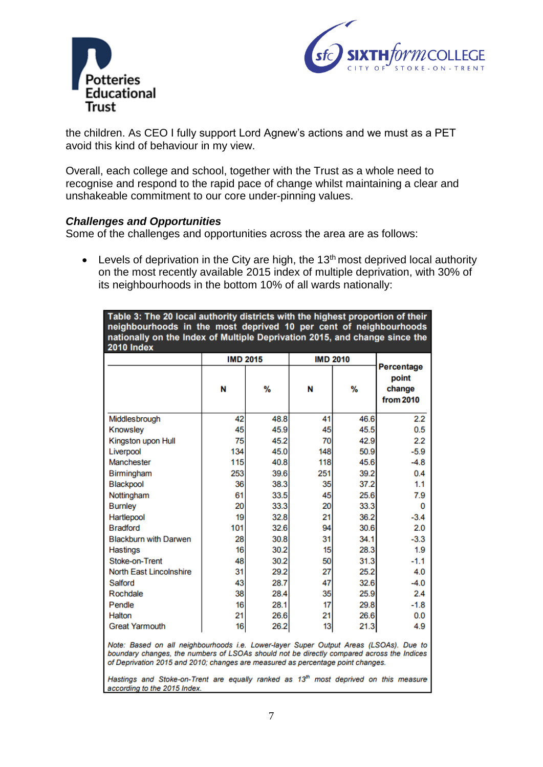



the children. As CEO I fully support Lord Agnew's actions and we must as a PET avoid this kind of behaviour in my view.

Overall, each college and school, together with the Trust as a whole need to recognise and respond to the rapid pace of change whilst maintaining a clear and unshakeable commitment to our core under-pinning values.

#### *Challenges and Opportunities*

Some of the challenges and opportunities across the area are as follows:

• Levels of deprivation in the City are high, the  $13<sup>th</sup>$  most deprived local authority on the most recently available 2015 index of multiple deprivation, with 30% of its neighbourhoods in the bottom 10% of all wards nationally:

Table 3: The 20 local authority districts with the highest proportion of their neighbourhoods in the most deprived 10 per cent of neighbourhoods nationally on the Index of Multiple Deprivation 2015, and change since the 2010 Index

|                                                                                                                                                                                                                                                                       | <b>IMD 2015</b> |      | <b>IMD 2010</b> |      |                                            |
|-----------------------------------------------------------------------------------------------------------------------------------------------------------------------------------------------------------------------------------------------------------------------|-----------------|------|-----------------|------|--------------------------------------------|
|                                                                                                                                                                                                                                                                       | N               | %    | N               | %    | Percentage<br>point<br>change<br>from 2010 |
| Middlesbrough                                                                                                                                                                                                                                                         | 42              | 48.8 | 41              | 46.6 | 2.2                                        |
| Knowsley                                                                                                                                                                                                                                                              | 45              | 45.9 | 45              | 45.5 | 0.5                                        |
| Kingston upon Hull                                                                                                                                                                                                                                                    | 75              | 45.2 | 70              | 42.9 | 2.2                                        |
| Liverpool                                                                                                                                                                                                                                                             | 134             | 45.0 | 148             | 50.9 | $-5.9$                                     |
| <b>Manchester</b>                                                                                                                                                                                                                                                     | 115             | 40.8 | 118             | 45.6 | $-4.8$                                     |
| Birmingham                                                                                                                                                                                                                                                            | 253             | 39.6 | 251             | 39.2 | 0.4                                        |
| <b>Blackpool</b>                                                                                                                                                                                                                                                      | 36              | 38.3 | 35              | 37.2 | 1.1                                        |
| Nottingham                                                                                                                                                                                                                                                            | 61              | 33.5 | 45              | 25.6 | 7.9                                        |
| <b>Burnley</b>                                                                                                                                                                                                                                                        | 20              | 33.3 | 20              | 33.3 | 0                                          |
| <b>Hartlepool</b>                                                                                                                                                                                                                                                     | 19              | 32.8 | 21              | 36.2 | $-3.4$                                     |
| <b>Bradford</b>                                                                                                                                                                                                                                                       | 101             | 32.6 | 94              | 30.6 | 2.0                                        |
| <b>Blackburn with Darwen</b>                                                                                                                                                                                                                                          | 28              | 30.8 | 31              | 34.1 | $-3.3$                                     |
| Hastings                                                                                                                                                                                                                                                              | 16              | 30.2 | 15              | 28.3 | 1.9                                        |
| Stoke-on-Trent                                                                                                                                                                                                                                                        | 48              | 30.2 | 50              | 31.3 | $-1.1$                                     |
| <b>North East Lincolnshire</b>                                                                                                                                                                                                                                        | 31              | 29.2 | 27              | 25.2 | 4.0                                        |
| Salford                                                                                                                                                                                                                                                               | 43              | 28.7 | 47              | 32.6 | $-4.0$                                     |
| Rochdale                                                                                                                                                                                                                                                              | 38              | 28.4 | 35              | 25.9 | 2.4                                        |
| Pendle                                                                                                                                                                                                                                                                | 16              | 28.1 | 17              | 29.8 | $-1.8$                                     |
| Halton                                                                                                                                                                                                                                                                | 21              | 26.6 | 21              | 26.6 | 0.0                                        |
| <b>Great Yarmouth</b>                                                                                                                                                                                                                                                 | 16              | 26.2 | 13              | 21.3 | 4.9                                        |
| Note: Based on all neighbourhoods i.e. Lower-layer Super Output Areas (LSOAs). Due to<br>boundary changes, the numbers of LSOAs should not be directly compared across the Indices<br>of Deprivation 2015 and 2010; changes are measured as percentage point changes. |                 |      |                 |      |                                            |

Hastings and Stoke-on-Trent are equally ranked as 13<sup>th</sup> most deprived on this measure according to the 2015 Index.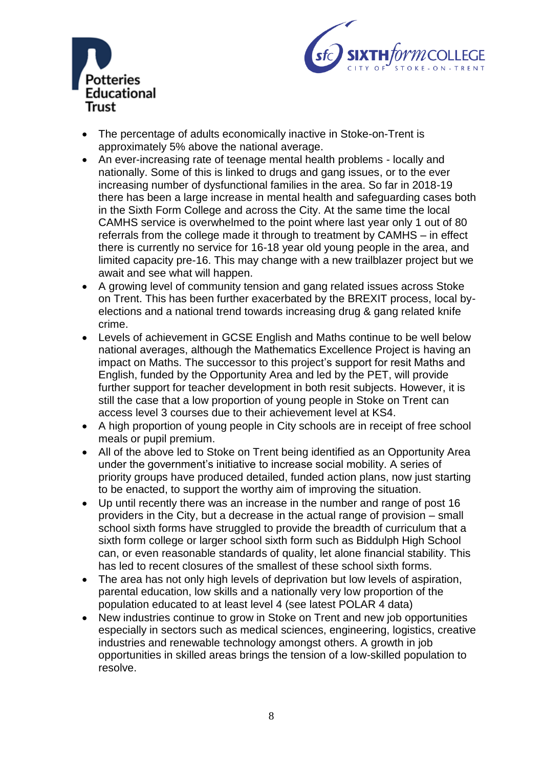



- The percentage of adults economically inactive in Stoke-on-Trent is approximately 5% above the national average.
- An ever-increasing rate of teenage mental health problems locally and nationally. Some of this is linked to drugs and gang issues, or to the ever increasing number of dysfunctional families in the area. So far in 2018-19 there has been a large increase in mental health and safeguarding cases both in the Sixth Form College and across the City. At the same time the local CAMHS service is overwhelmed to the point where last year only 1 out of 80 referrals from the college made it through to treatment by CAMHS – in effect there is currently no service for 16-18 year old young people in the area, and limited capacity pre-16. This may change with a new trailblazer project but we await and see what will happen.
- A growing level of community tension and gang related issues across Stoke on Trent. This has been further exacerbated by the BREXIT process, local byelections and a national trend towards increasing drug & gang related knife crime.
- Levels of achievement in GCSE English and Maths continue to be well below national averages, although the Mathematics Excellence Project is having an impact on Maths. The successor to this project's support for resit Maths and English, funded by the Opportunity Area and led by the PET, will provide further support for teacher development in both resit subjects. However, it is still the case that a low proportion of young people in Stoke on Trent can access level 3 courses due to their achievement level at KS4.
- A high proportion of young people in City schools are in receipt of free school meals or pupil premium.
- All of the above led to Stoke on Trent being identified as an Opportunity Area under the government's initiative to increase social mobility. A series of priority groups have produced detailed, funded action plans, now just starting to be enacted, to support the worthy aim of improving the situation.
- Up until recently there was an increase in the number and range of post 16 providers in the City, but a decrease in the actual range of provision – small school sixth forms have struggled to provide the breadth of curriculum that a sixth form college or larger school sixth form such as Biddulph High School can, or even reasonable standards of quality, let alone financial stability. This has led to recent closures of the smallest of these school sixth forms.
- The area has not only high levels of deprivation but low levels of aspiration, parental education, low skills and a nationally very low proportion of the population educated to at least level 4 (see latest POLAR 4 data)
- New industries continue to grow in Stoke on Trent and new job opportunities especially in sectors such as medical sciences, engineering, logistics, creative industries and renewable technology amongst others. A growth in job opportunities in skilled areas brings the tension of a low-skilled population to resolve.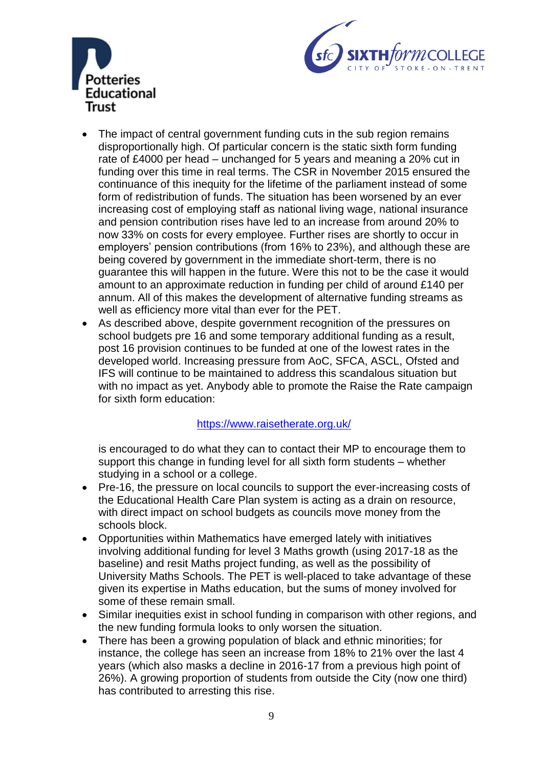



- The impact of central government funding cuts in the sub region remains disproportionally high. Of particular concern is the static sixth form funding rate of £4000 per head – unchanged for 5 years and meaning a 20% cut in funding over this time in real terms. The CSR in November 2015 ensured the continuance of this inequity for the lifetime of the parliament instead of some form of redistribution of funds. The situation has been worsened by an ever increasing cost of employing staff as national living wage, national insurance and pension contribution rises have led to an increase from around 20% to now 33% on costs for every employee. Further rises are shortly to occur in employers' pension contributions (from 16% to 23%), and although these are being covered by government in the immediate short-term, there is no guarantee this will happen in the future. Were this not to be the case it would amount to an approximate reduction in funding per child of around £140 per annum. All of this makes the development of alternative funding streams as well as efficiency more vital than ever for the PET.
- As described above, despite government recognition of the pressures on school budgets pre 16 and some temporary additional funding as a result, post 16 provision continues to be funded at one of the lowest rates in the developed world. Increasing pressure from AoC, SFCA, ASCL, Ofsted and IFS will continue to be maintained to address this scandalous situation but with no impact as yet. Anybody able to promote the Raise the Rate campaign for sixth form education:

#### <https://www.raisetherate.org.uk/>

is encouraged to do what they can to contact their MP to encourage them to support this change in funding level for all sixth form students – whether studying in a school or a college.

- Pre-16, the pressure on local councils to support the ever-increasing costs of the Educational Health Care Plan system is acting as a drain on resource, with direct impact on school budgets as councils move money from the schools block.
- Opportunities within Mathematics have emerged lately with initiatives involving additional funding for level 3 Maths growth (using 2017-18 as the baseline) and resit Maths project funding, as well as the possibility of University Maths Schools. The PET is well-placed to take advantage of these given its expertise in Maths education, but the sums of money involved for some of these remain small.
- Similar inequities exist in school funding in comparison with other regions, and the new funding formula looks to only worsen the situation.
- There has been a growing population of black and ethnic minorities; for instance, the college has seen an increase from 18% to 21% over the last 4 years (which also masks a decline in 2016-17 from a previous high point of 26%). A growing proportion of students from outside the City (now one third) has contributed to arresting this rise.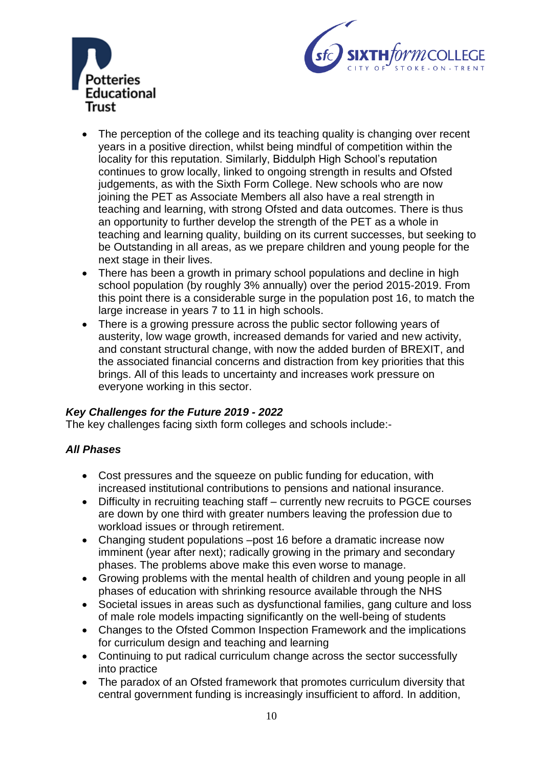



- The perception of the college and its teaching quality is changing over recent years in a positive direction, whilst being mindful of competition within the locality for this reputation. Similarly, Biddulph High School's reputation continues to grow locally, linked to ongoing strength in results and Ofsted judgements, as with the Sixth Form College. New schools who are now joining the PET as Associate Members all also have a real strength in teaching and learning, with strong Ofsted and data outcomes. There is thus an opportunity to further develop the strength of the PET as a whole in teaching and learning quality, building on its current successes, but seeking to be Outstanding in all areas, as we prepare children and young people for the next stage in their lives.
- There has been a growth in primary school populations and decline in high school population (by roughly 3% annually) over the period 2015-2019. From this point there is a considerable surge in the population post 16, to match the large increase in years 7 to 11 in high schools.
- There is a growing pressure across the public sector following years of austerity, low wage growth, increased demands for varied and new activity, and constant structural change, with now the added burden of BREXIT, and the associated financial concerns and distraction from key priorities that this brings. All of this leads to uncertainty and increases work pressure on everyone working in this sector.

## *Key Challenges for the Future 2019 - 2022*

The key challenges facing sixth form colleges and schools include:-

#### *All Phases*

- Cost pressures and the squeeze on public funding for education, with increased institutional contributions to pensions and national insurance.
- Difficulty in recruiting teaching staff currently new recruits to PGCE courses are down by one third with greater numbers leaving the profession due to workload issues or through retirement.
- Changing student populations –post 16 before a dramatic increase now imminent (year after next); radically growing in the primary and secondary phases. The problems above make this even worse to manage.
- Growing problems with the mental health of children and young people in all phases of education with shrinking resource available through the NHS
- Societal issues in areas such as dysfunctional families, gang culture and loss of male role models impacting significantly on the well-being of students
- Changes to the Ofsted Common Inspection Framework and the implications for curriculum design and teaching and learning
- Continuing to put radical curriculum change across the sector successfully into practice
- The paradox of an Ofsted framework that promotes curriculum diversity that central government funding is increasingly insufficient to afford. In addition,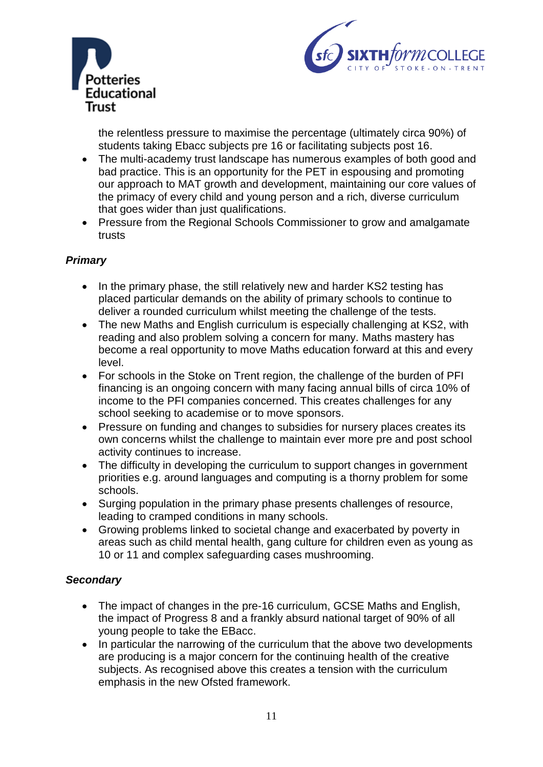



the relentless pressure to maximise the percentage (ultimately circa 90%) of students taking Ebacc subjects pre 16 or facilitating subjects post 16.

- The multi-academy trust landscape has numerous examples of both good and bad practice. This is an opportunity for the PET in espousing and promoting our approach to MAT growth and development, maintaining our core values of the primacy of every child and young person and a rich, diverse curriculum that goes wider than just qualifications.
- Pressure from the Regional Schools Commissioner to grow and amalgamate trusts

## *Primary*

- In the primary phase, the still relatively new and harder KS2 testing has placed particular demands on the ability of primary schools to continue to deliver a rounded curriculum whilst meeting the challenge of the tests.
- The new Maths and English curriculum is especially challenging at KS2, with reading and also problem solving a concern for many. Maths mastery has become a real opportunity to move Maths education forward at this and every level.
- For schools in the Stoke on Trent region, the challenge of the burden of PFI financing is an ongoing concern with many facing annual bills of circa 10% of income to the PFI companies concerned. This creates challenges for any school seeking to academise or to move sponsors.
- Pressure on funding and changes to subsidies for nursery places creates its own concerns whilst the challenge to maintain ever more pre and post school activity continues to increase.
- The difficulty in developing the curriculum to support changes in government priorities e.g. around languages and computing is a thorny problem for some schools.
- Surging population in the primary phase presents challenges of resource, leading to cramped conditions in many schools.
- Growing problems linked to societal change and exacerbated by poverty in areas such as child mental health, gang culture for children even as young as 10 or 11 and complex safeguarding cases mushrooming.

## *Secondary*

- The impact of changes in the pre-16 curriculum, GCSE Maths and English, the impact of Progress 8 and a frankly absurd national target of 90% of all young people to take the EBacc.
- In particular the narrowing of the curriculum that the above two developments are producing is a major concern for the continuing health of the creative subjects. As recognised above this creates a tension with the curriculum emphasis in the new Ofsted framework.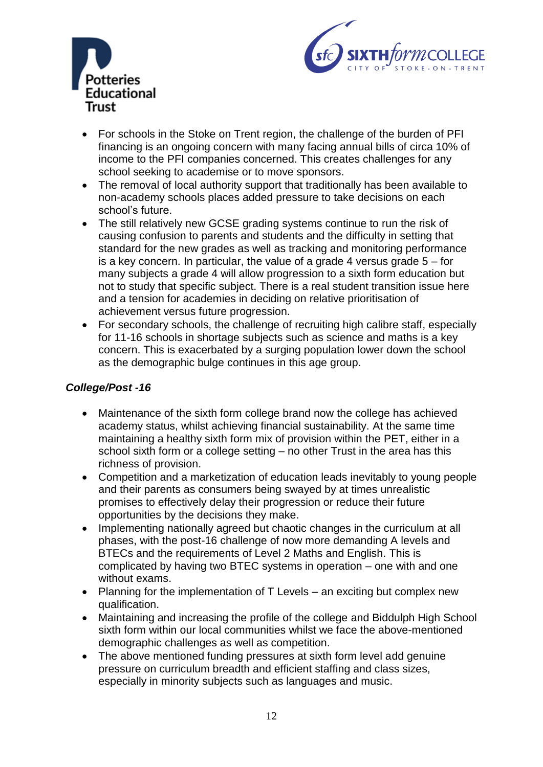



- For schools in the Stoke on Trent region, the challenge of the burden of PFI financing is an ongoing concern with many facing annual bills of circa 10% of income to the PFI companies concerned. This creates challenges for any school seeking to academise or to move sponsors.
- The removal of local authority support that traditionally has been available to non-academy schools places added pressure to take decisions on each school's future.
- The still relatively new GCSE grading systems continue to run the risk of causing confusion to parents and students and the difficulty in setting that standard for the new grades as well as tracking and monitoring performance is a key concern. In particular, the value of a grade 4 versus grade  $5 - for$ many subjects a grade 4 will allow progression to a sixth form education but not to study that specific subject. There is a real student transition issue here and a tension for academies in deciding on relative prioritisation of achievement versus future progression.
- For secondary schools, the challenge of recruiting high calibre staff, especially for 11-16 schools in shortage subjects such as science and maths is a key concern. This is exacerbated by a surging population lower down the school as the demographic bulge continues in this age group.

## *College/Post -16*

- Maintenance of the sixth form college brand now the college has achieved academy status, whilst achieving financial sustainability. At the same time maintaining a healthy sixth form mix of provision within the PET, either in a school sixth form or a college setting – no other Trust in the area has this richness of provision.
- Competition and a marketization of education leads inevitably to young people and their parents as consumers being swayed by at times unrealistic promises to effectively delay their progression or reduce their future opportunities by the decisions they make.
- Implementing nationally agreed but chaotic changes in the curriculum at all phases, with the post-16 challenge of now more demanding A levels and BTECs and the requirements of Level 2 Maths and English. This is complicated by having two BTEC systems in operation – one with and one without exams.
- Planning for the implementation of T Levels an exciting but complex new qualification.
- Maintaining and increasing the profile of the college and Biddulph High School sixth form within our local communities whilst we face the above-mentioned demographic challenges as well as competition.
- The above mentioned funding pressures at sixth form level add genuine pressure on curriculum breadth and efficient staffing and class sizes, especially in minority subjects such as languages and music.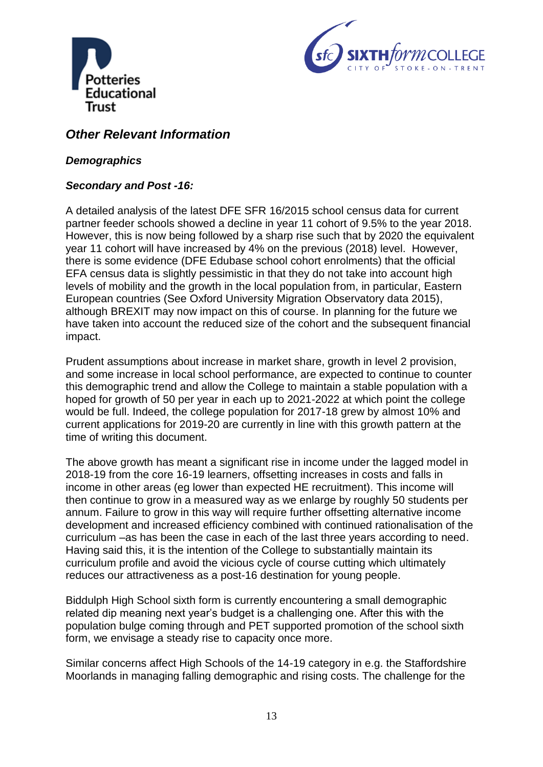



## *Other Relevant Information*

## *Demographics*

## *Secondary and Post -16:*

A detailed analysis of the latest DFE SFR 16/2015 school census data for current partner feeder schools showed a decline in year 11 cohort of 9.5% to the year 2018. However, this is now being followed by a sharp rise such that by 2020 the equivalent year 11 cohort will have increased by 4% on the previous (2018) level. However, there is some evidence (DFE Edubase school cohort enrolments) that the official EFA census data is slightly pessimistic in that they do not take into account high levels of mobility and the growth in the local population from, in particular, Eastern European countries (See Oxford University Migration Observatory data 2015), although BREXIT may now impact on this of course. In planning for the future we have taken into account the reduced size of the cohort and the subsequent financial impact.

Prudent assumptions about increase in market share, growth in level 2 provision, and some increase in local school performance, are expected to continue to counter this demographic trend and allow the College to maintain a stable population with a hoped for growth of 50 per year in each up to 2021-2022 at which point the college would be full. Indeed, the college population for 2017-18 grew by almost 10% and current applications for 2019-20 are currently in line with this growth pattern at the time of writing this document.

The above growth has meant a significant rise in income under the lagged model in 2018-19 from the core 16-19 learners, offsetting increases in costs and falls in income in other areas (eg lower than expected HE recruitment). This income will then continue to grow in a measured way as we enlarge by roughly 50 students per annum. Failure to grow in this way will require further offsetting alternative income development and increased efficiency combined with continued rationalisation of the curriculum –as has been the case in each of the last three years according to need. Having said this, it is the intention of the College to substantially maintain its curriculum profile and avoid the vicious cycle of course cutting which ultimately reduces our attractiveness as a post-16 destination for young people.

Biddulph High School sixth form is currently encountering a small demographic related dip meaning next year's budget is a challenging one. After this with the population bulge coming through and PET supported promotion of the school sixth form, we envisage a steady rise to capacity once more.

Similar concerns affect High Schools of the 14-19 category in e.g. the Staffordshire Moorlands in managing falling demographic and rising costs. The challenge for the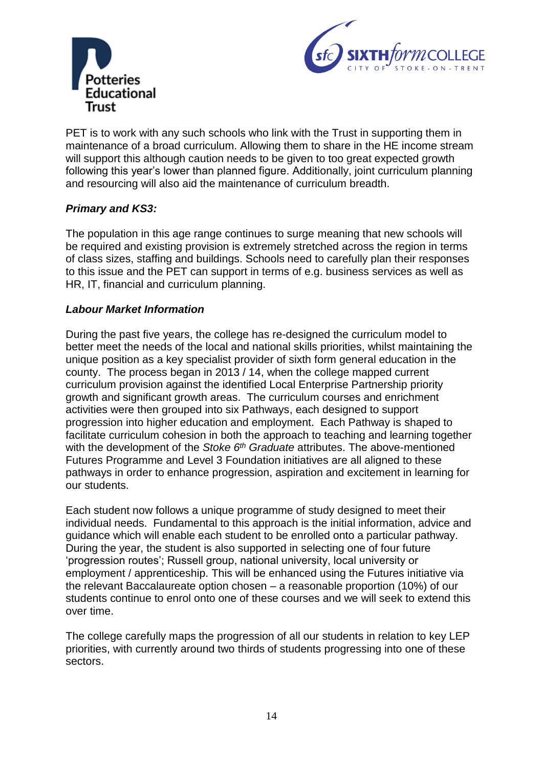



PET is to work with any such schools who link with the Trust in supporting them in maintenance of a broad curriculum. Allowing them to share in the HE income stream will support this although caution needs to be given to too great expected growth following this year's lower than planned figure. Additionally, joint curriculum planning and resourcing will also aid the maintenance of curriculum breadth.

## *Primary and KS3:*

The population in this age range continues to surge meaning that new schools will be required and existing provision is extremely stretched across the region in terms of class sizes, staffing and buildings. Schools need to carefully plan their responses to this issue and the PET can support in terms of e.g. business services as well as HR, IT, financial and curriculum planning.

## *Labour Market Information*

During the past five years, the college has re-designed the curriculum model to better meet the needs of the local and national skills priorities, whilst maintaining the unique position as a key specialist provider of sixth form general education in the county. The process began in 2013 / 14, when the college mapped current curriculum provision against the identified Local Enterprise Partnership priority growth and significant growth areas. The curriculum courses and enrichment activities were then grouped into six Pathways, each designed to support progression into higher education and employment. Each Pathway is shaped to facilitate curriculum cohesion in both the approach to teaching and learning together with the development of the *Stoke 6th Graduate* attributes. The above-mentioned Futures Programme and Level 3 Foundation initiatives are all aligned to these pathways in order to enhance progression, aspiration and excitement in learning for our students.

Each student now follows a unique programme of study designed to meet their individual needs. Fundamental to this approach is the initial information, advice and guidance which will enable each student to be enrolled onto a particular pathway. During the year, the student is also supported in selecting one of four future 'progression routes'; Russell group, national university, local university or employment / apprenticeship. This will be enhanced using the Futures initiative via the relevant Baccalaureate option chosen – a reasonable proportion (10%) of our students continue to enrol onto one of these courses and we will seek to extend this over time.

The college carefully maps the progression of all our students in relation to key LEP priorities, with currently around two thirds of students progressing into one of these sectors.